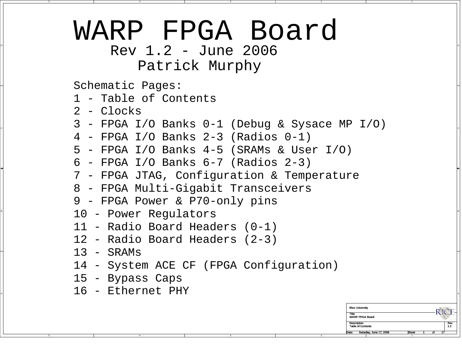## WARP FPGA Board

 $\sim$  Rev 1.2 - June 2006 Patrick Murphy

Schematic Pages:

1 - Table of Contents

2 - Clocks

C

B

A

C 3 - FPGA I/O Banks 0-1 (Debug & Sysace MP I/O)

2

- 4 FPGA I/O Banks 2-3 (Radios 0-1)
- 5 FPGA I/O Banks 4-5 (SRAMs & User I/O)
- 6 FPGA I/O Banks 6-7 (Radios 2-3)
- 7 FPGA JTAG, Configuration & Temperature
- 8 FPGA Multi-Gigabit Transceivers
- 9 FPGA Power & P70-only pins
- $10$  Power Regulators  $\parallel$ 
	- 11 Radio Board Headers (0-1)
	- 12 Radio Board Headers (2-3)
	- $13$  SRAMs
	- 14 System ACE CF (FPGA Configuration)
	- 15 Bypass Caps
- A 16 Ethernet PHY

| <b>Rice University</b>           |              |    |    |     |
|----------------------------------|--------------|----|----|-----|
| Title<br><b>WARP FPGA Board</b>  |              |    |    |     |
| <b>Description</b>               |              |    |    | Rev |
| <b>Table of Contents</b>         |              |    |    | 1.2 |
| Saturday, June 17, 2006<br>Date: | <b>Sheet</b> | ΩŤ | 17 |     |
|                                  |              |    |    |     |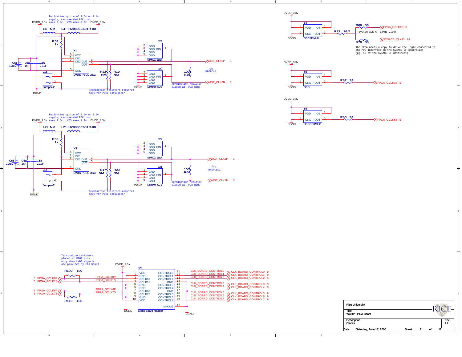







2

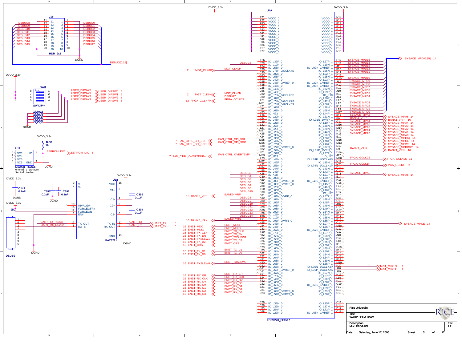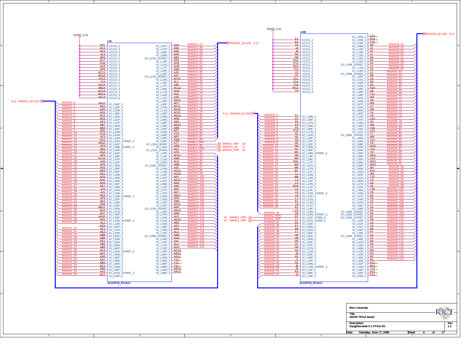| <b>IO L30N 3</b><br><b>IO L41N 2</b><br><b>IO L14N 2</b><br>RADIO1_2<br>RADIO1_101<br>RADIO <sub>0</sub> 21<br>RADIO0_9<br>$IO$ <sup>-232P</sup> <sub>3</sub> $AE12$<br>AH2<br>$\frac{12}{2}$<br>Y3<br>IO_L28N_3<br>IO L25P 2<br>IO_L90N_2<br>RADIO1<br>RADIO1<br>RADIO <sub>0</sub><br>RADIO0<br>AK8<br>U9<br>$\perp$ 3<br>AH4<br>IO L30P 3<br><b>IO LO8N 3</b><br><b>IO L24N 2</b><br><b>IO L47N 2</b><br><b>RADIO1 27</b><br>RADIO1 103<br><b>RADIO0 23</b><br><b>RADIO0 99</b><br>AE7<br>AM7<br>M10<br>V6<br>IO_L46N_3<br>IO_L12P_3<br>IO_L11P_2<br>IO_L55P_2<br>RADIO1 <sub>2</sub><br><b>RADIO0_24</b><br><b>RADIO1 104</b><br><b>RADIO0 100</b><br>AJ3<br>$\sqrt{AYZ}$<br>T <sub>10</sub><br>IO L24N 3<br>IO L07P 3<br>IO L24P 2<br><b>IO L38N 2</b><br><b>RADIO1_2</b><br><b>RADIO1_105</b><br>RADIO <sub>0_25</sub><br>RADIO <sub>0</sub> 101<br>AJ1<br>$10^{-121P-3}$ $AKZ$<br>$\perp 5$<br>V <sub>5</sub><br>IO_L55N_2<br>IO_L22N_3<br>IO_L22N_2/VREF_2<br>RADIO <sub>1</sub><br><b>RADIO1_1</b><br>RADIO0_10<br>RADIO0 <sub>2</sub><br>$IO$ $L32N$ $3$ $AE11$<br>AK3<br><b>L6</b><br>V <sub>4</sub><br>IO L15N 3/VREF 3<br>IO L22P 2<br>IO L57P 2<br><b>RADIO1 31</b><br><b>RADIO1 107</b><br><b>RADIO0 27</b><br><b>RADIO0 103</b><br>AF9<br>AF8<br>L7<br>T8<br>IO_L26P_3<br>IO_L26N_3<br>IO_L21N_2<br>IO_L44P_2<br><b>RADIO1 3:</b><br><b>RADIO0_28</b><br><b>RADIO1 108</b><br><b>RADIO0 104</b><br>AK2<br>AM4<br>V3<br>_K1_]<br>IO L18P 3<br>IO L10P 3<br><b>IO L19N 2</b><br><b>IO L57N 2</b><br>RADIO1_3<br><b>RADIO1 109</b><br>RADIO0_29<br><b>RADIO0 105</b><br>AD11<br>AD <sub>8</sub><br>$\perp$ 8<br>T7<br>IO_L46P_2<br>IO_L52P_3<br>$IO$ <sub>L41P</sub> $3$<br>IO_L21P_2<br>RADIO1 <sub>3</sub><br><b>RADIO1 11</b><br><b>RADIO0_30</b><br>RADIO0_106<br>AB11<br>AK <sub>6</sub><br>K <sub>2</sub><br>V <sub>2</sub><br><b>IO L50N 3</b><br>IO L21N 3/VREF 3<br>IO L19P 2<br>IO L58P 2<br>RADIO1 3<br><b>RADIO1 111</b><br><b>RADIO0 107</b><br>AE10<br>AC <sub>9</sub><br>C5<br>T <sub>6</sub><br>IO_L46N_2/VREF_2<br>IO_L47N_3<br>IO_L35P_3<br>IO_L03N_2<br>RADIO1_3P<br><b>RADIO1 112</b><br>RADIO0 34<br><b>RADIO0 108</b><br>AD7<br>$\Box$ AN6<br><b>P6</b><br>D6<br>IO L49P 3<br><b>IO L07N 3</b><br>IO L04N 2/VREF 2<br>IO L34N 2/VREF 2<br><b>RADIO1_3</b><br><b>RADIO1_113</b><br><b>BANK2_VRN</b><br>RADIO0_109<br>$10^{-10N-3}$ $AB$<br>AA10<br>D7<br>R7<br>16 BANK2_VRN <16 BANK2_VRP<br>$IO_L59P_3$<br>IO_L01P_2/VRN_2<br>IO_L40N_2/VREF_2<br><b>RADIO1 114</b><br><b>BANK2_VRP</b><br>RADIO1<br><b>RADIO0 110</b><br>$10 \tImes 10$<br>AE5<br>C7<br>P9<br>IO L45N 3/VREF 3<br>IO_L01N_2/VRP_2<br>IO L23P 2<br>RADIO1 3<br><b>RADIO1 115</b><br><b>RADIO0 35</b><br>RADIO0 111<br>AL1<br>$10$ $L35N$ $3$ $R59$<br>E6<br>U <sub>2</sub><br>IO_L13N_3<br>$IO$ $L04P$ $2$<br>IO_L52P_2<br><b>RADIO1 116</b><br><b>RADIO0 36</b><br><b>RADIO0 112</b><br>AC6<br>IO_L36P_3 497<br>E7<br><u>T4</u><br>IO L55P 3<br><b>IO L06N 2</b><br>IO L51P 2<br><b>RADIO1 41</b><br><b>RADIO1 117</b><br><b>RADIO0 37</b><br><b>RADIO0 113</b><br>AF <sub>1</sub><br>$10 - 19N - 3$ $AK4$<br>G9<br>R <sub>6</sub><br>IO_L37N_3<br>IO_L02N_2<br>IO_L42P_2<br><b>RADIO1_42</b><br><b>RADIO1 118</b><br>RADIO0 3<br>RADIO0_114<br>FZ<br>PZ<br>AE3<br>AL3<br>IO L15P 3<br>IO L06P 2<br>IO L34P<br><b>IO L43N 3</b><br><b>RADIO1 43</b><br>RADIO1 119<br><b>RADIO0 39</b><br>RADIO0 115<br>AB <sub>8</sub><br>AM2<br>H9<br>U1<br>IO_L85P_3<br>IO_L09N_3/VREF_3<br>IO_L02P_2<br>IO_L52N_2/VREF_2<br>RADIO1_44<br><b>RADIO1 120</b><br>RADIO0 40<br><b>RADIO0 116</b><br>AB <sub>9</sub><br>AG6<br><u>T3</u><br>H8<br>IO L53N 3<br><b>IO L36N 3</b><br><b>IO L05N 2</b><br>IO L48P 2<br>RADIO1_45<br>RADIO1_46<br><b>RADIO1 121</b><br><b>RADIO0 41</b><br><b>RADIO0 117</b><br>R5<br>AE1<br>IO_L24P_3 AJ4<br>D5<br>IO_L42N_2<br>IO_L42N_3<br>IO_L03P_2<br><b>RADIO1 122</b><br><b>RADIO0_42</b><br><b>RADIO0 118</b><br><u>P8</u><br>AB <sub>5</sub><br>$10-L13P-3$ $AR2$<br>HZ<br>IO L07P 2<br>IO L23N 2<br><b>IO L60N 3</b><br><b>RADIO1 47</b><br><b>RADIO1 123</b><br><b>RADIO0 43</b><br>RADIO0 119<br>$IO$ $L33P$ $3$ $AG2$<br>T2<br>AB <sub>6</sub><br>H6<br>IO_L60P_3<br>IO_L07N_2<br>IO_L48N_2<br><b>RADIO1 48</b><br>RADIO0 44<br>RADIO0_120<br>R4<br>AC4<br>IO L51N 3/VREF 3<br>IO L43P 2<br><b>IO L12N 2</b><br>RADIO1_49<br><b>RADIO0_45</b><br>RADIO0_121<br>AD2<br>J9<br>R3<br>IO_L48N_3<br>IO_L05P_2<br>IO_L43N_2<br>RADIO1_50<br>RADIO0_46<br>RADIO0_47<br>RADIO0_122<br>RADIO0_123<br>IO_L56N_3 AA1<br>R2<br>AA8<br>H3<br>IO L90P 3<br>IO L09P <sub>2</sub><br>IO L45P 2<br>$Y13 \times$<br>AA7<br>J7<br>R1<br>IO_L86N_3<br>IO_L90N_3<br>IO_L10P_2<br>IO_L45N_2<br><b>RADIO1 52</b><br><b>RADIO0 48</b><br>AB <sub>3</sub><br>Y12<br>$R12 \times$<br>ᄖ2니<br>IO L58N 3<br>IO L89P 3<br><b>IO L09N 2</b><br>IO L32P 2<br><b>RADIO0_49</b><br>RADIO1_53<br>$\frac{M11}{113}$<br>AC <sub>1</sub><br>$10 \t{189N-3}$<br>$10 \t{189N-3}$<br>$10 \t{144N-3}$<br>$10 \t{125N-3}$<br>J6<br>IO_L54N_3<br>IO_L10N_2/VREF_2<br>IO_L20N_2<br>RADIO1 54<br>RADIO0 50<br>RADIO0 51<br>AB4<br><u>J5</u><br>IO L35P<br>IO L58P 3<br>IO L12P 2<br>AA3<br>$IO$ $L86P$ $3$ $A413$<br>K9<br>$\overline{N11}$<br>IO L87N 3/VREF 3<br>IO_L08P_2<br>IO_L20P_2<br><b>RADIO1 56</b><br><b>RADIO0 52</b><br>AC2<br><u>J3</u><br>$_{\rm{P11}}$<br>IO_L54P_3<br>IO_L18P_2<br>IO_L26N_2<br><b>XC2VP70_FF1517</b><br><b>XC2VP70 FF1517</b><br><b>Rice University</b><br><b>RICE</b><br>Title<br><b>WARP FPGA Board</b><br><b>Description</b><br>Rev | DVDD_3.3v<br>9,11 RADIO1_[0:123] $\sqrt{\sqrt{ }}$<br>RADIO1 <sub>0</sub><br><b>RADIO1_1</b><br>RADIO1_2<br>RADIO1_4<br>RADIO1_5<br>RADIO1_6<br>RADIO1_7<br>RADIO1_8<br><b>RADIO1_9</b><br>RADIO1_10<br>RADIO1_11<br><b>RADIO1_12</b><br>RADIO1_13<br>RADIO1_14<br>RADIO1_15<br><b>RADIO1_16</b><br>RADIO1_17<br>RADIO1_18<br>RADIO1_19<br><b>RADIO1_20</b><br>RADIO1 <sub>2</sub><br>RADIO1<br>RADIO1_23 | U4I<br>AR <sub>1</sub><br>10_L87P_3 444<br>VCCO <sub>3</sub><br>$10$ L57P $-3$ $AB2$<br>AC3<br>VCCO_3<br>AG4<br>A46<br><b>IO L88P 3</b><br>VCCO_3<br>IO_L88N_3 AAS<br>AL4<br>VCCO_3<br>AR4<br>AB1<br>VCCO <sub>3</sub><br>IO_L57N_3/VREF_3<br>AC7<br>AK5<br>VCCO_3<br>IO_L19P_3<br>AG8<br>A <sub>H6</sub><br><b>IO L31N 3</b><br>VCCO_3<br>AL <sub>8</sub><br>IO_L17P_3 AH8<br>VCCO_3<br>AP8<br>$IO\_LO9P_3$ $AM3$<br>VCCO <sub>3</sub><br>AC11<br>$IO - 25P - 3$ $A16$<br>VCCO_3<br>AG12<br>$IO_L27N_3VREF_3$<br>VCCO_3<br>AF13<br>$\overline{10}$ $\overline{123N}$ $\overline{3}$ $\overline{4F10}$<br>VCCO_3<br>Y14<br>ALZ<br>VCCO <sub>3</sub><br>IO L <sub>16</sub> P $3 \cdot$<br>AA14<br>VCCO_3<br>AB14<br>AC12<br><b>IO L38N 3</b><br>VCCO_3<br><b>AC14</b><br>IO_L17N_3 AG9<br>VCCO_3<br>AD14<br>10_L16N_3<br>10_L16N_3<br>10_L11P_3<br>10_L38P_3<br>2<br>VCCO_3<br>AE14<br>VCCO_3<br>$IO\_LAOP_3$ $AET$<br>AA12<br>IO L56P 3<br>AE2<br><b>AF11</b><br>IO L42P 3<br><b>IO L20N 3</b><br>AA9<br>AH10<br>IO_L59N_3<br>IO_L11N_3<br>AD3<br>AF12<br>IO_L48P_3<br>IO L20P 3<br>AC <sub>5</sub><br>IO_L29N_3 AD13<br>IO_L55N_3<br>AD4<br>IO_LO6N_3 AR6<br>IO L51P 3<br>AF2<br>$10 \overline{\smash{)} 108P}3$ AK9<br>IO_L37P_3<br>ABZ 10_L85N_3<br>$IO$ <sup>-29P</sup> <sub>3</sub> $AE13$<br>$IO\_LO3P_3$ $AN9$<br>AE4<br>IO L43P 3<br>$IO$ $LO4N-3$ $APZ$<br>AD <sub>6</sub><br>$IO$ $L49N$ <sup>3</sup><br>AC <sub>8</sub><br>AT6<br>IO L52N 3<br>IO L06P 3<br>AE3<br>ARZ<br>IO L34N 3<br>$IO$ $L04P$ 3<br>AG1<br>$IO\_LO5P_3$ $AM8$<br>IO L33N 3/VREF 3<br><b>AB10</b><br>$IO_L01N_3/VRP_3$ $ATZ_1$<br>IO_L53P_3<br>AF <sub>4</sub><br>$IO$ $LO2N$ $3$ $ARB$<br>IO L39N 3/VREF 3<br>AE6<br>AUT<br>IO_L45P_3<br>IO_L01P_3/VRN_3<br>AG <sub>3</sub><br>$10$ L02P $3$ $\overline{)$ AT8<br>IO L34P 3<br>AF <sub>5</sub><br>$IO-L14P_3$ $AH11$<br>IO_L39P_3<br>AM <sub>6</sub><br>AC10<br>IO L47P 3<br><b>IO L12N 3</b><br>AL9<br>AJ2<br>IO_L22P_3<br>IO_L05N_3<br>AF <sub>6</sub><br>AM9<br><b>IO L40N 3</b><br>IO L03N 3/VREF 3<br>AH3<br>TO_L25N_3 ALE<br>IO_L28P_3<br>$10 \tImes 3$ $14N = 3$<br>AE <sub>8</sub><br>IO L46P 3<br>AK1<br><b>AG10</b> | $\rightarrow$ RADIO1_[0:123] 9,11<br><b>RADIO1 57</b><br><b>RADIO1 58</b><br><b>RADIO1 59</b><br><b>RADIO1_60</b><br>RADIO1_61<br>RADIO1_62<br><b>RADIO1 63</b><br><b>RADIO1_64</b><br>RADIO1_65<br><b>RADIO1_66</b><br><b>RADIO1 67</b><br><b>RADIO1_68</b><br><b>RADIO1_69</b><br><b>RADIO1_70</b><br><b>RADIO1 71</b><br><b>RADIO1_72</b><br><b>RADIO1_73</b><br><b>RADIO1_74</b><br><b>RADIO1 75</b><br><b>RADIO1 76</b><br><b>RADIO1_77</b><br>RADIO1_78<br><b>RADIO1 79</b><br>9,11 RADIO0_[0:123] $\sqrt{\sqrt{2}}$<br><b>RADIO1 80</b><br><b>RADIO1 81</b><br>RADIO1_8<br><b>RADIO1 83</b><br><b>RADIO1 84</b><br>RADIO1 85<br><b>RADIO1 8</b><br><b>RADIO1_8</b><br>BANK3 VRF<br>RADIO1_90<br>$\gg$ BANK3 VRP 16<br>$\sum$ RADIO1_90 11<br><b>BANK3 VRN</b><br>$\frac{1}{2}$ BANK3_VRN 16<br><b>RADIO1 92</b><br><b>RADIO1_93</b><br><b>RADIO1_94</b><br>RADIO1 <sub>9</sub><br>RADIO1 <sub>9</sub><br>RADIO1_9<br>RADIO1<br>RADIO1 99 | DVDD_3.3v<br>U4B<br>E1<br>VCCO <sub>2</sub><br>E4<br>VCCO_2<br>F8<br>VCCO <sub>2</sub><br>.14<br>VCCO_2<br>J8<br>VCCO_2<br>N4<br>VCCO_2<br>N8<br>VCCO <sub>2</sub><br>N12<br>VCCO_2<br>P13<br>VCCO_2<br>R14<br>VCCO_2<br>T14<br>VCCO <sub>2</sub><br>U3<br>VCCO_2<br>U7<br>VCCO_2<br>U11<br>VCCO_2<br>U14<br>VCCO <sub>2</sub><br>V14<br>VCCO_2<br>$W14$ $VCCO2$<br>Y5<br>VCCO_2<br>RADIO0 0<br>$P1$ $10$ $L39N$ $2$<br>RADIO0_1<br>RADIO0_2<br>P2<br>IO L39P 2<br>P3<br>IO_L37N_2<br>RADIO <sub>0</sub> 3<br>P4<br><b>IO L36N 2</b><br>RADIO0_4<br>P5<br>IO L36P 2<br>RADIO0 5<br>RADIO0_6<br>P10<br><b>IO L17N 2</b><br>N1<br><b>IO L33N 2</b><br>RADIO0<br>N2<br>IO L33P 2<br>RADIO0_8<br>_N3_ <br><b>IO L37P 2</b><br>RADIO0 9<br>RADIO0_10<br>N5<br>IO_L31P_2<br>N6<br><b>IO L30N 2</b><br><b>RADIO0 11</b><br>NZ<br>IO_L30P_2<br>RADIO0_12<br>M2<br>IO L28N 2/VREF 2<br>RADIO0 13<br>RADIO0 14<br>N9<br>IO_L14P_2<br>M3<br>IO L28P 2<br>RADIO0 15<br>N10<br>IO_L17P_2<br><b>RADIO0_16</b><br>M4<br><b>IO L31N 2</b><br><b>RADIO0_17</b><br>M6<br>IO_L27N_2<br><b>RADIO0_1</b><br>MZ<br><b>IO L27P 2</b><br><b>RADIO0 19</b><br>$\perp$ | $113\times$<br>IO_L50N_2<br>R13<br><b>IO L35N 2</b><br>$P12\sqrt{ }$<br>IO_L26P_2<br>RADIO0 53<br>K <sub>8</sub><br><b>IO_L08N_2</b><br><b>RADIO0 54</b><br>J2<br>IO_L13P_2<br><b>RADIO0 55</b><br>K7<br>IO L15P 2<br>RADIO0_56<br>.11<br>IO_L13N_2<br>RADIO <sub>0</sub> <sub>5</sub><br>K6<br>$IO$ $L15N$ <sup>2</sup><br>K <sub>5</sub><br>IO_L16P_<br><b>RADIO0 59</b><br>K4<br>IO_L16N_2/VREF_2<br>RADIO0 60<br>1.9<br>IO_L11N_2<br>RADIO0 <sub>6</sub><br>K3<br>IO_L18N_2<br>RADIO0 62<br>V1<br>IO_L58N_2/VREF_2<br><b>RADIO0 63</b><br>R8<br>IO_L40P_2<br><b>RADIO0_64</b><br> 14<br>IO_L51N_2<br>RADIO0 <sub>6</sub><br>R9<br>IO L29N 2<br>U <sub>5</sub><br>IO_L49N_2<br><b>RADIO0 67</b><br>R <sub>10</sub><br>IO L29P 2<br><b>RADIO0 68</b><br>U <sub>6</sub><br>IO_L49P_2<br><b>RADIO0_69</b><br><b>T11</b><br>IO L38P 2<br>RADIO0 70<br>W3_<br>IO_L87N_2<br><b>RADIO0 71</b><br>$U8$<br><b>IO L44N 2</b><br><b>RADIO0_72</b><br>W <sub>4</sub><br>IO_L87P_2<br><b>RADIO0 73</b><br>V7<br>IO L54N 2<br><b>RADIO0 74</b><br>W <sub>5</sub><br>IO_L85N_2<br>RADIO0 75<br>Y4<br>IO L90P 2<br><b>RADIO0 76</b><br>V <sub>8</sub><br>IO_L54P_2<br><b>RADIO0 77</b><br>U10<br>IO L47P 2<br><b>RADIO0 78</b><br>V9<br>IO_L53N_2<br><b>RADIO0 79</b><br>W8<br>IO_L60P_2<br>RADIO0 80<br>V10<br>IO L53P 2<br><b>RADIO0_81</b><br>U12<br>IO_L41P_2<br>Y7<br>IO L88N 2/VREF<br>RADIO <sub>0</sub> 83<br>W9<br><b>IO_L89N_2</b><br><b>RADIO0 84</b><br>V11<br>IO L56N 2<br>RADIO0 <sub>8</sub><br><b>Y8</b><br>IO_L88P_2<br><b>RADIO0</b><br>W10<br>IO L59N 2<br>RADIO <sub>0</sub> 8<br>V12<br>IO_L56P_2<br>RADIO0 8<br>Y9<br>IO L89P 2<br>RADIO0<br>W11<br>IO_L59P_2<br><b>RADIO</b><br>V13<br>IO L50P 2<br>RADIO0 <sub>9</sub><br>W <sub>12</sub><br>IO_L86N_2<br>RADIO0 92<br>W <sub>13</sub><br>IO L86P 2<br>RADIO0<br>W7<br>IO_L60N_2<br>RADIO <sub>0</sub><br>R11<br>IO L32N 2<br><b>RADIO0</b><br>W6 | $\rightarrow$ RADIO0_[0:123] 9,11 |
|-------------------------------------------------------------------------------------------------------------------------------------------------------------------------------------------------------------------------------------------------------------------------------------------------------------------------------------------------------------------------------------------------------------------------------------------------------------------------------------------------------------------------------------------------------------------------------------------------------------------------------------------------------------------------------------------------------------------------------------------------------------------------------------------------------------------------------------------------------------------------------------------------------------------------------------------------------------------------------------------------------------------------------------------------------------------------------------------------------------------------------------------------------------------------------------------------------------------------------------------------------------------------------------------------------------------------------------------------------------------------------------------------------------------------------------------------------------------------------------------------------------------------------------------------------------------------------------------------------------------------------------------------------------------------------------------------------------------------------------------------------------------------------------------------------------------------------------------------------------------------------------------------------------------------------------------------------------------------------------------------------------------------------------------------------------------------------------------------------------------------------------------------------------------------------------------------------------------------------------------------------------------------------------------------------------------------------------------------------------------------------------------------------------------------------------------------------------------------------------------------------------------------------------------------------------------------------------------------------------------------------------------------------------------------------------------------------------------------------------------------------------------------------------------------------------------------------------------------------------------------------------------------------------------------------------------------------------------------------------------------------------------------------------------------------------------------------------------------------------------------------------------------------------------------------------------------------------------------------------------------------------------------------------------------------------------------------------------------------------------------------------------------------------------------------------------------------------------------------------------------------------------------------------------------------------------------------------------------------------------------------------------------------------------------------------------------------------------------------------------------------------------------------------------------------------------------------------------------------------------------------------------------------------------------------------------------------------------------------------------------------------------------------------------------------------------------------------------------------------------------------------------------------------------------------------------------------------------------------------------------------------------------------------------------------------------------------------------------------------------------------------------------------------------------------------------------------------------------------------------------------------------------------------------------------------------------------------------------------------------------------------------------------------------------------------------------------------------------------------------------------------------------------------------------------------------------------------------------------------------------------------------------------------------------------------------------------------------------------------------------------------------------------------------------------------------------------------------------------------------------------------------------------------------------------------------------------------------------------------------------------------------------------------------------------------------------------------------------------------------------------------------------------------------------------------------------------------------------------------------------------------------------------------------------------|-----------------------------------------------------------------------------------------------------------------------------------------------------------------------------------------------------------------------------------------------------------------------------------------------------------------------------------------------------------------------------------------------------------|--------------------------------------------------------------------------------------------------------------------------------------------------------------------------------------------------------------------------------------------------------------------------------------------------------------------------------------------------------------------------------------------------------------------------------------------------------------------------------------------------------------------------------------------------------------------------------------------------------------------------------------------------------------------------------------------------------------------------------------------------------------------------------------------------------------------------------------------------------------------------------------------------------------------------------------------------------------------------------------------------------------------------------------------------------------------------------------------------------------------------------------------------------------------------------------------------------------------------------------------------------------------------------------------------------------------------------------------------------------------------------------------------------------------------------------------------------------------------------------------------------------------------------------------------------------------------------------------------------------------------------------------------------------------------------------------------------------------------------------------------------------------------------------------------------------------------------------------------------------------------------------------------------------------------------------------------------------------------------------------------------------------------------------------------------------------------------------------------------------------------------------------------------------|-------------------------------------------------------------------------------------------------------------------------------------------------------------------------------------------------------------------------------------------------------------------------------------------------------------------------------------------------------------------------------------------------------------------------------------------------------------------------------------------------------------------------------------------------------------------------------------------------------------------------------------------------------------------------------------------------------------------------------------------------------------------------------------------------------------------------------------------------------------------------------------------------------------------------------------------------|----------------------------------------------------------------------------------------------------------------------------------------------------------------------------------------------------------------------------------------------------------------------------------------------------------------------------------------------------------------------------------------------------------------------------------------------------------------------------------------------------------------------------------------------------------------------------------------------------------------------------------------------------------------------------------------------------------------------------------------------------------------------------------------------------------------------------------------------------------------------------------------------------------------------------------------------------------------------------------------------------------------------------------------------------------------------------------------------------------------------------------------------|--------------------------------------------------------------------------------------------------------------------------------------------------------------------------------------------------------------------------------------------------------------------------------------------------------------------------------------------------------------------------------------------------------------------------------------------------------------------------------------------------------------------------------------------------------------------------------------------------------------------------------------------------------------------------------------------------------------------------------------------------------------------------------------------------------------------------------------------------------------------------------------------------------------------------------------------------------------------------------------------------------------------------------------------------------------------------------------------------------------------------------------------------------------------------------------------------------------------------------------------------------------------------------------------------------------------------------------------------------------------------------------------------------------------------------------------------------------------------------------------------------------------------------------------------------------------------------------------------------------------------------------------------------------------------------------------------------------------------------------------------------------------------------------------------------------------------------------------------------------------------------------------------------------|-----------------------------------|
|                                                                                                                                                                                                                                                                                                                                                                                                                                                                                                                                                                                                                                                                                                                                                                                                                                                                                                                                                                                                                                                                                                                                                                                                                                                                                                                                                                                                                                                                                                                                                                                                                                                                                                                                                                                                                                                                                                                                                                                                                                                                                                                                                                                                                                                                                                                                                                                                                                                                                                                                                                                                                                                                                                                                                                                                                                                                                                                                                                                                                                                                                                                                                                                                                                                                                                                                                                                                                                                                                                                                                                                                                                                                                                                                                                                                                                                                                                                                                                                                                                                                                                                                                                                                                                                                                                                                                                                                                                                                                                                                                                                                                                                                                                                                                                                                                                                                                                                                                                                                                                                                                                                                                                                                                                                                                                                                                                                                                                                                                                                                                       | RADIO1_24                                                                                                                                                                                                                                                                                                                                                                                                 | IO_L23P_3<br>IO_L18N_3<br>AG5<br>$10 - L31P - 3$ $4H2$                                                                                                                                                                                                                                                                                                                                                                                                                                                                                                                                                                                                                                                                                                                                                                                                                                                                                                                                                                                                                                                                                                                                                                                                                                                                                                                                                                                                                                                                                                                                                                                                                                                                                                                                                                                                                                                                                                                                                                                                                                                                                                       | <b>RADIO1 100</b>                                                                                                                                                                                                                                                                                                                                                                                                                                                                                                                                                                                                                                                                                                                                                                                                                                                                                                                               | IO_L25N_2<br>RADIO0 <sub>20</sub><br>M8                                                                                                                                                                                                                                                                                                                                                                                                                                                                                                                                                                                                                                                                                                                                                                                                                                                                                                                                                                                                                                                                                                      | IO_L85P_2<br>RADIO0_96<br>T <sub>12</sub>                                                                                                                                                                                                                                                                                                                                                                                                                                                                                                                                                                                                                                                                                                                                                                                                                                                                                                                                                                                                                                                                                                                                                                                                                                                                                                                                                                                                                                                                                                                                                                                                                                                                                                                                                                                                                                                                    |                                   |

2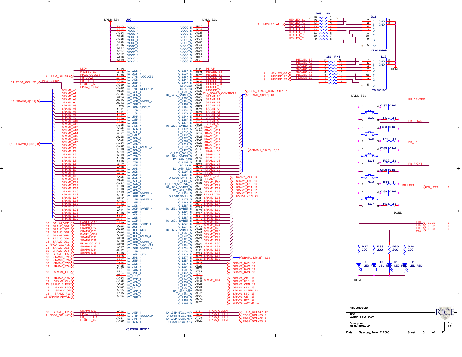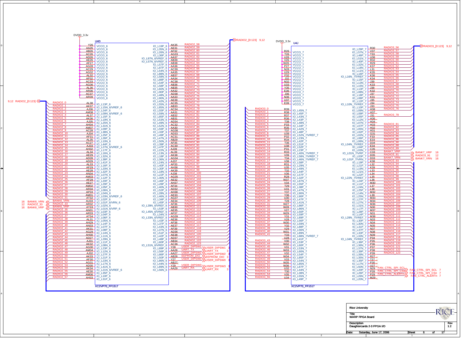| DVDD_3.3v<br>U4D<br>Y26<br>VCCO <sub>6</sub><br>AA26<br>VCCO_6<br>AB26<br>VCCO <sub>6</sub><br>AC26<br>VCCO_6<br>AD26<br>VCCO_6<br>AE26<br>VCCO_6<br><b>AF27</b><br>VCCO_6<br>AG28<br>VCCO_6<br>AC29<br>VCCO_6<br>AG32<br>VCCO_6<br>AL32<br>VCCO_6<br>AP32<br>VCCO_6<br>AC33<br>VCCO_6<br>AG36<br>VCCO_6<br>AL36<br>VCCO_6<br>AR36<br>VCCO_6<br>AC37<br>VCCO_6<br>AR39<br>VCCO_6<br>9,12 RADIO2_[0:123] <<<br>RADIO <sub>2_0</sub><br>AL38<br>IO_L13P_6<br>RADIO <sub>2</sub> 1<br>AK37 IO_L15N_6/VREF_6<br>RADIO2:<br>AJ36 10_124P_6<br>RADIO <sub>2</sub><br>AM38<br>IO_L09N_6/VREF_6<br>RADIO <sub>2</sub> 4<br>AL37<br>IO_L15P_6<br>RADIO <sub>2</sub><br>AK36<br>IO_L19N_6<br>RADIO <sub>2</sub> 6<br>AJ35 10_L25N_6<br>RADIO <sub>2</sub><br>AH34<br>IO_L31N_6<br>RADIO <sub>2</sub><br>AM37<br>IO L09P 6<br>RADIO <sub>2</sub> <sub>9</sub><br>AC28<br>$IO$ $L38N$ $6$<br><b>RADIO2_10</b><br>$4434$ IO_L25P_6<br><b>RADIO2_11</b><br>AE31<br>$IO$ $L26P$ $6$<br><b>RADIO2_1:</b><br>AL35<br><b>IO L10N 6</b><br><b>RADIO2 13</b><br>AC27<br>IO_L44P_6<br><b>RADIO2 14</b><br>AJ33 10_L27N_6/VREF_6<br>RADIO2 15<br>RADIO2 16<br><b>AH32</b><br>IO_L17P_6<br>AL34<br>IO L16N 6<br>RADIO <sub>2</sub> 17<br>AE29<br>IO_L32N_6<br>RADIO2_18<br>AD28 10_L38P_6<br><b>RADIO2_19</b><br>AD29<br>IO_L41P_6<br>RADIO <sub>2</sub> 2<br>AL33<br>IO L16P 6<br><b>RADIO2 21</b><br>AF29<br>IO_L20N_6<br>RADIO <sub>2</sub><br>AE28<br>$IO$ $L32P$ 6<br><b>RADIO2_23</b><br>AN34<br>IO_L07N_6<br>RADIO <sub>2</sub><br>AM33<br>IO L12P 6<br>AF28<br>IO_L20P_6<br><b>RADIO2 26</b><br>$AE27$ 10_L29P_6<br>RADIO <sub>2</sub> <sub>2</sub><br>AM32<br>IO_L05P_6<br>RADIO <sub>2</sub><br>AR34<br><b>IO L06N 6</b><br>AP33<br>IO_L04N_6<br>RADIO <sub>2</sub><br>AM31<br>IO_L03N_6/VREF_6<br><b>RADIO2 31</b><br>AT32<br>IO_L02P_6<br><b>BANK6_VRN</b><br>AU33<br>16 BANK6_VRN <<<br>IO_L01P_6/VRN_6<br>RADIO <sub>2</sub><br>12 RADIO2_33<br>AR32<br>IO_L02N_6<br><b>BANK6_VRF</b><br>AT33<br>16 BANK6_VRP<br>IO_L01N_6/VRP_6<br>RADIO <sub>2</sub><br>AN31<br>IO_L03P_6<br>AR33<br>IO L04P 6<br>AT34<br>IO_L06P_6<br>RADIO <sub>2</sub><br>A131<br><b>IO L05N 6</b><br>RADIO <sub>2</sub><br>AH29<br>IO_L14P_6<br>RADIO <sub>2</sub><br>AN33<br><b>IO L07P 6</b><br><b>RADIO2 41</b><br>AK31<br>IO_L08P_6<br>RADIO <sub>2</sub> 42<br>AG29<br>IO L14N 6<br>AH30<br>IO_L11N_6 | <b>RADIO2 58</b><br>AK35<br>IO L19P 6<br><b>RADIO2_59</b><br>AE31<br>IO_L35N_6<br>RADIO2_60<br>RADIO2_61<br>AF32<br>IO_L26N_6<br>AG33<br>IO_L36P_6<br>RADIO2_62<br>RADIO2_63<br>AA37<br>IO_L87N_6/VREF_6<br>AB39<br>IO_L57N_6/VREF_6<br>RADIO2_64<br>RADIO2_65<br>RADIO2_66<br>AB38<br>IO L57P 6<br>AA36<br>IO_L87P_6<br>AC39<br>IO_L54N_6<br><b>RADIO2_67</b><br>AA35<br>IO_L88N_6<br>RADIO2_68<br>RADIO2_69<br>RADIO2_70<br><b>AB37</b><br>IO_L58N_6<br>AA34<br>IO_L88P_6<br>AC38<br>IO_L54P_6<br><b>RADIO2_71</b><br>AB36<br>IO_L58P_6<br>RADIO2_72<br>AB35<br>IO_L60N_6<br><b>RADIO2_73</b><br>AA32<br>IO_L90P_6<br><b>RADIO2 74</b><br>AD38<br>IO_L48N_6<br><b>RADIO2_75</b><br>AA33<br>IO_L90N_6<br>RADIO2_76<br>RADIO2_77<br>AE39<br>IO_L42N_6<br>AC35<br>IO_L55N_6<br><b>RADIO2 78</b><br>AB33<br>IO_L85N_6<br><b>RADIO2_79</b><br>AC34<br>IO_L55P_6<br><b>RADIO2_80</b><br>AA31<br>IO_L59N_6<br><b>RADIO2_81</b><br>AB32<br>IO_L85P_6<br><b>RADIO2 82</b><br>AB31<br>IO_L53N_6<br><b>RADIO2_83</b><br>AD34<br>IO_L49N_6<br>RADIO2_84<br>RADIO2_85<br>RADIO2_86<br>AC32<br>IO_L52N_6<br>AA30<br>IO L59P 6<br>AG38<br>$IO$ $L33P$ $6$<br><b>RADIO2_87</b><br>AD33<br>IO L49P 6<br>RADIO2 88<br>RADIO2 89<br>RADIO2 90<br>AC31<br>$IO_L47N_6$<br>AB29<br><b>IO L50N 6</b><br>AF35<br>IO_L39P_6<br>RADIO2_91<br>AC30<br><b>IO L47P 6</b><br>RADIO2 92<br>RADIO2 93<br>RADIO2 94<br>RADIO2 95<br>AJ39<br>IO_L22N_6<br>AL39<br>IO L13N 6<br>AK38<br>IO_L18P_6<br>AG34<br>IO_L36N_6<br>RADIO2_96<br>RADIO2_97<br>RADIO2_98<br>RADIO2_99<br>AJ37<br>$IO$ $L24N$ $6$<br>AF33<br>IO L40P 6<br>AH36<br>IO_L30P_6<br>AK39.<br><b>IO L18N 6</b><br>RADIO2_100<br>RADIO2_101<br>RADIO2_102<br>AJ38<br>IO_L22P_6<br>AG35<br><b>IO L30N 6</b><br>AE32<br>IO_L46P_6<br>RADIO2_103<br>AH37<br>IO_L28P_6<br>RADIO2_104<br>RADIO2_105<br>RADIO2_106<br>AF34<br>IO_L40N_6<br>AD32<br>IO L52P 6<br>AH38<br>IO_L28N_6<br>RADIO2_107<br>AE33.<br><b>IO L46N 6</b><br>RADIO2_108<br>RADIO2_109<br>RADIO2_110<br>AG37<br>$IO_L34P_6$<br>AE34<br>IO L45P 6<br>AF36<br>IO_L39N_6/VREF_6<br>RADIO2_111<br>AB30<br>IO L53P 6<br>RADIO2_112<br>RADIO2_113<br>RADIO2_114<br>RADIO2_115<br>AE35<br>IO_L45N_6/VREF_6<br>AF37<br>IO L34N 6<br>AG39<br>IO_L33N_6/VREF_6<br>AE36<br>IO L43P 6<br>RADIO2_116<br>RADIO2_116<br>RADIO2_118<br>RADIO2_119<br>AF38<br>IO_L37P_6<br><b>AE37</b><br>IO L43N 6<br>AF39<br>IO_L37N_6<br>AD36<br>IO L51P 6<br>AE38<br>IO_L42P_6 | $\rightarrow$ RADIO2_[0:123] 9,12<br>$DVDD_3.3v$ U4J<br>R <sub>26</sub><br>VCCO <sub>7</sub><br>T26<br>VCCO_7<br>$\overline{1}$ U26<br>VCCO_7<br>V26<br>VCCO_7<br><u>I W26</u><br>VCCO_7<br>P <sub>27</sub><br>VCCO_7<br>N28<br>VCCO_7<br>U <sub>29</sub><br>VCCO_7<br>F32<br>VCCO_7<br>J32<br>N32<br>VCCO_7<br>VCCO_7<br>U33<br>VCCO_7<br>Y35<br>VCCO_7<br>E36<br>VCCO_7<br>J36<br>VCCO_7<br>N <sub>36</sub><br>VCCO_7<br>LU37<br>VCCO_7<br>E39<br>VCCO_7<br>RADIO3 <sub>0</sub><br>$\frac{R39}{R30}$ IO_L45N_7<br><b>RADIO3_1</b><br><b>R38 10_L45P_7</b><br>RADIO3<br><b>R37</b><br>IO_L43N_7<br>RADIO <sub>3</sub> 3<br><b>R36</b> 10 L43P 7<br>RADIO3 4<br>$\frac{138}{10}$ 10_L48N_7<br><b>RADIO3_5</b><br>P33 10_L34P_7<br>RADIO3_6<br>R35<br><b>IO L42N 7</b><br>RADIO3 7<br>T37 10_L48P_7<br>RADIO3 8<br>U39 10_L52N_7/VREF_7<br>RADIO3 9<br>RADIO3_10<br>$P32$ $10$ $23N$<br>R34<br>IO_L42P_7<br><b>RADIO3 11</b><br>$\frac{136}{10}$ $\frac{10}{10}$ $\frac{1}{10}$<br><b>RADIO3 12</b><br><u>U38</u> 10_L52P_7<br>RADIO3 13<br>RADIO3 14<br>RADIO3 15<br><b>P31</b> 10_L23P_7<br>$R333$ IO_L40N_7/VREF_7<br>V39 10_L58N_7/VREF_7<br><b>RADIO3_16</b><br>$\frac{134}{10}$ IO_L46N_7/VREF_7<br>RADIO3 17<br>RADIO3 18<br>RADIO3 19<br>$\frac{V38}{10}$ $\frac{10}{10}$ $\frac{158P}{17}$<br>R31<br>IO_L29N_7<br>U35<br>IO_L49N_7<br><b>RADIO3_20</b><br>T32 10_L44P_7<br>RADIO3 21<br>RADIO3 22<br>RADIO3 23<br>V36<br>IO_L57P_7<br>R28<br>IO_L32P_7<br>$W37$ 10 L87N 7<br><b>RADIO3_24</b><br>$\frac{V34}{400}$ $\frac{10}{10}$ $\frac{100}{155}$ $\frac{V34}{7}$<br><b>RADIO3_25</b><br>T29<br>IO_L38P_7<br>RADIO3_26<br>RADIO3_27<br>U31<br>IO_L47N_7<br>Y37<br>IO_L90N_7<br><b>RADIO3 28</b><br>$\frac{10}{10}$ $\frac{10}{10}$ $\frac{10}{10}$ $\frac{10}{10}$ $\frac{1}{2}$<br>RADIO3_2<br>U30<br>IO_L47P_7<br>T28<br>IO_L41N_7<br>W27<br>IO_L86P_7<br><b>RADIO3 32</b><br>$W28$ $10$ $L86N$ 7<br>RADIO3_33<br>RADIO3_3<br>RADIO3_3<br>V27<br>IO_L50P_7<br>W <sub>29</sub><br>IO_L59P_7<br>Y31<br>IO_L89P_7<br><b>RADIO3 3</b><br>$\frac{V28}{V22}$ 10_156P_7<br>RADIO3_37<br>RADIO3_38<br>RADIO3_39<br>$\frac{W30}{10}$ $10 - 159N$ 7<br>Y32<br>IO_L88P_7<br>V29<br>IO_L56N_7<br><b>RADIO3 40</b><br>$\frac{1}{2}$ $\frac{1}{2}$ $\frac{1}{2}$ $\frac{1}{2}$ $\frac{1}{2}$ $\frac{1}{2}$ $\frac{1}{2}$ $\frac{1}{2}$ $\frac{1}{2}$ $\frac{1}{2}$ $\frac{1}{2}$ $\frac{1}{2}$ $\frac{1}{2}$ $\frac{1}{2}$ $\frac{1}{2}$ $\frac{1}{2}$ $\frac{1}{2}$ $\frac{1}{2}$ $\frac{1}{2}$ $\frac{1}{2}$ $\frac{1}{2}$ $\frac{1}{2}$<br><b>RADIO3_41</b><br>Y33<br>IO_L88N_7/VREF_7 | $\rightarrow$ RADIO3_[0:123] 9,12<br><b>RADIO3 56</b><br>R30<br>IO_L29P_7<br>RADIO3 57<br>V37<br><b>IO_L57N_7</b><br><b>T33</b><br>IO_L46P_7<br><b>RADIO3 59</b><br>$\overline{\phantom{0}}$ U36<br>IO_L51N_7<br><b>RADIO3 60</b><br>R32<br>IO_L40P_7<br><b>RADIO3_61</b><br>R <sub>29</sub><br>IO_L32N_7<br><b>RADIO3 62</b><br>K37<br>IO_L18N_7<br><b>RADIO3 63</b><br>$\Box$ 31<br>IO_L11N_7<br><b>RADIO3_64</b><br>K35<br>IO_L16P_7<br><b>RADIO3 65</b><br>K36<br>IO_L16N_7/VREF_7<br>RADIO3 66<br>K34<br>IO_L15P_7<br><b>RADIO3 67</b><br>J39<br>IO_L13N_7<br><b>RADIO3 68</b><br>K33<br>IO_L15N_7<br><b>RADIO3_69</b><br>J38<br>$IO_L13P$<br><b>RADIO3 70</b><br>K32<br><b>IO_L08N_7</b><br><b>RADIO3 71</b><br>J37<br>IO_L18P_1<br><b>RADIO3 72</b><br>K31<br>IO_L08P_7<br><b>RADIO3_73</b><br>J35<br>$IO_L12P$<br><b>RADIO3 74</b><br>J34<br>IO_L10N_7/VREF_7<br><b>RADIO3 75</b><br>J33<br>IO_L10P_7<br>RADIO3 76<br>H <sub>38</sub><br>IO_L09N_7<br>H <sub>37</sub><br>IO_L09P<br><b>RADIO3_78</b><br>J31<br>IO L05P<br>H36<br>IO_L12N_7<br>H34<br>IO_L07N_7<br><b>RADIO3 81</b><br>H33<br>IO_L07P_7<br><b>RADIO3 82</b><br>H <sub>32</sub><br><b>IO L05N 7</b><br><b>RADIO3 83</b><br>H31<br>IO_L02P_7<br><b>RADIO3 84</b><br>IO_L02N_7 931<br>RADIO <sub>3</sub> 8<br>$10 \times 106P$ $7 \times 33$<br>RADIO3 8<br>E33<br>IO LO6N 7<br>RADIO3 90<br>D34<br>IO_L04N_7/VREF_7<br><b>RADIO3 88</b><br>E34<br>IO L04P 7<br>RADIO <sub>3</sub> 8<br>C <sub>35</sub><br>IO_L03N_7<br><b>BANK7_VRI</b><br>C <sub>33</sub><br>IO_L01N_7/VRP_7<br><b>RADIO3 91</b><br>D35<br>IO_L03P_7<br><b>BANK7_VRN</b><br>$IO_L01P_7/VRN_7$<br>RADIO3 93<br>RADIO3 94<br>K38<br>IO_L19P_7<br>$\frac{132}{2}$<br>IO_L21P_7<br><b>RADIO3 95</b><br>K39<br>IO_L19N_7<br><b>RADIO3 96</b><br>$\perp$ 33<br>IO L21N 7<br><b>RADIO3 97</b><br>L34<br>IO_L22P_7<br>RADIO <sub>3</sub><br>$\perp$ 35<br>IO_L22N_7/VREF_7<br><b>RADIO3 99</b><br>L36<br>IO_L24P_7<br><b>RADIO3 100</b><br>M30<br>IO L11P 7<br><b>RADIO3 101</b><br>L37<br>IO_L24N_7<br>RADIO3 <sub>1</sub><br>L38<br>IO_L25P<br><b>RADIO3 10</b><br>M32<br>IO_L14N_7<br><b>RADIO3 104</b><br>$\perp$ 39<br>IO_L25N_7<br>RADIO3 105<br>M33<br>IO_L27P_7<br>M34<br>IO_L27N_7<br>RADIO3 107<br>M36<br>IO_L31N_7<br>RADIO3 108<br>N30<br><b>IO L17P 7</b><br><b>RADIO3 10</b><br>M37<br>IO_L28P_7<br>RADIO3_11<br>N31<br><b>IO L14P</b><br><b>RADIO3 111</b><br>M38<br>IO_L28N_7/VREF_7<br>RADIO3 112<br>N33<br>IO_L30P_7<br>RADIO3_113<br>RADIO3_114<br>N34<br>IO_L30N_7<br>N35<br>IO L31P<br>RADIO3 115<br>N37<br>IO_L37P_7<br><b>RADIO3 116</b><br>N38<br>IO L33P 7<br>N39<br>IO_L33N_7 |
|-------------------------------------------------------------------------------------------------------------------------------------------------------------------------------------------------------------------------------------------------------------------------------------------------------------------------------------------------------------------------------------------------------------------------------------------------------------------------------------------------------------------------------------------------------------------------------------------------------------------------------------------------------------------------------------------------------------------------------------------------------------------------------------------------------------------------------------------------------------------------------------------------------------------------------------------------------------------------------------------------------------------------------------------------------------------------------------------------------------------------------------------------------------------------------------------------------------------------------------------------------------------------------------------------------------------------------------------------------------------------------------------------------------------------------------------------------------------------------------------------------------------------------------------------------------------------------------------------------------------------------------------------------------------------------------------------------------------------------------------------------------------------------------------------------------------------------------------------------------------------------------------------------------------------------------------------------------------------------------------------------------------------------------------------------------------------------------------------------------------------------------------------------------------------------------------------------------------------------------------------------------------------------------------------------------------------------------------------------------------------|-------------------------------------------------------------------------------------------------------------------------------------------------------------------------------------------------------------------------------------------------------------------------------------------------------------------------------------------------------------------------------------------------------------------------------------------------------------------------------------------------------------------------------------------------------------------------------------------------------------------------------------------------------------------------------------------------------------------------------------------------------------------------------------------------------------------------------------------------------------------------------------------------------------------------------------------------------------------------------------------------------------------------------------------------------------------------------------------------------------------------------------------------------------------------------------------------------------------------------------------------------------------------------------------------------------------------------------------------------------------------------------------------------------------------------------------------------------------------------------------------------------------------------------------------------------------------------------------------------------------------------------------------------------------------------------------------------------------------------------------------------------------------------------------------------------------------------------------------------------------------------------------------------------------------------------------------------------------------------------------------------------------------------------------------------------------------------------------------------------------------------------------------------------------------------------------------------------------------------------------------------------------------------------------------------------------------------------------------------------------------------------------------------------------------------------------|------------------------------------------------------------------------------------------------------------------------------------------------------------------------------------------------------------------------------------------------------------------------------------------------------------------------------------------------------------------------------------------------------------------------------------------------------------------------------------------------------------------------------------------------------------------------------------------------------------------------------------------------------------------------------------------------------------------------------------------------------------------------------------------------------------------------------------------------------------------------------------------------------------------------------------------------------------------------------------------------------------------------------------------------------------------------------------------------------------------------------------------------------------------------------------------------------------------------------------------------------------------------------------------------------------------------------------------------------------------------------------------------------------------------------------------------------------------------------------------------------------------------------------------------------------------------------------------------------------------------------------------------------------------------------------------------------------------------------------------------------------------------------------------------------------------------------------------------------------------------------------------------------------------------------------------------------------------------------------------------------------------------------------------------------------------------------------------------------------------------------------------------------------------------------------------------------------------------------------------------------------------------------------------------------------------------------------------------------------------------------------------------------------------------------------------------------------------------------------------------------------------------------------------------------------------------------------------|---------------------------------------------------------------------------------------------------------------------------------------------------------------------------------------------------------------------------------------------------------------------------------------------------------------------------------------------------------------------------------------------------------------------------------------------------------------------------------------------------------------------------------------------------------------------------------------------------------------------------------------------------------------------------------------------------------------------------------------------------------------------------------------------------------------------------------------------------------------------------------------------------------------------------------------------------------------------------------------------------------------------------------------------------------------------------------------------------------------------------------------------------------------------------------------------------------------------------------------------------------------------------------------------------------------------------------------------------------------------------------------------------------------------------------------------------------------------------------------------------------------------------------------------------------------------------------------------------------------------------------------------------------------------------------------------------------------------------------------------------------------------------------------------------------------------------------------------------------------------------------------------------------------------------------------------------------------------------------------------------------------------------------------------------------------------------------------------------------------------------------------------------------------------------------------------------------------------------------------------------------------------------------------------------------------------------------------------------------------------------------------------------------------------------------------------------------------------------------------------------------------------------------------------------------------------------------------------------------------------------------------|
| RADIO2_43<br>RADIO2_44<br><b>AD27</b><br>IO L29N 6<br>RADIO <sub>2</sub> 45<br>AJ31<br>IO_L11P_6<br><b>RADIO2 46</b><br>AK32<br><b>IO L08N 6</b><br><b>RADIO2_47</b><br>AG30<br>IO_L23P_6<br>RADIO2_48<br>RADIO2_49<br>AM34<br>IO_L12N_6<br>AJ32<br>IO_L27P_6<br><b>RADIO2 50</b><br>AK33<br>IO L21P 6<br>RADIO <sub>2_5</sub><br>AF30<br>IO_L23N_6<br>RADIO2 5<br><u>AG31</u><br>IO L17N 6<br>AD30 10_L41N_6<br>RADIO <sub>254</sub><br>AK34 10_L21N_6/VREF_6<br>IO L35P 6<br>RADIO2 56<br>RADIO2 57<br>AM36<br><b>IO L10P 6</b><br>AH33 10_L31P_6<br><b>XC2VP70 FF1517</b>                                                                                                                                                                                                                                                                                                                                                                                                                                                                                                                                                                                                                                                                                                                                                                                                                                                                                                                                                                                                                                                                                                                                                                                                                                                                                                                                                                                                                                                                                                                                                                                                                                                                                                                                                                                            | RADIO2_120<br>RADIO2_121<br>RADIO2_122<br>RADIO2_123<br>AD37<br>IO L48P 6<br>AB34<br>$IO_L60P_C$<br>AC36<br>IO_L51N_6/VREF_6<br><b>HAUNG 120</b><br><b>UART TX</b><br>UART TX<br>UART TY WART TX<br>THE DISER DIPSWES WART TX<br>THE DIPSWESS WARD NO 3<br>THE DIPSWESS WARD NO 3<br>THE DIPSWESS WARD NO 3<br>Y28<br>IO_L89P_6<br>AA28<br>IO L56P 6<br>AA27<br>IO_L86P_6<br>AB28<br>IO L50P 6<br>Y27<br>IO_L86N_6<br>$AB2\frac{7}{2}$<br>IO L44N 6<br>IO_L89N_6<br>IO_L56N_6                                                                                                                                                                                                                                                                                                                                                                                                                                                                                                                                                                                                                                                                                                                                                                                                                                                                                                                                                                                                                                                                                                                                                                                                                                                                                                                                                                                                                                                                                                                                                                                                                                                                                                                                                                                                                                                                                                                                                             | $\frac{1}{2}$ $\frac{1}{2}$ $\frac{1}{2}$ $\frac{1}{2}$ $\frac{1}{2}$ $\frac{1}{2}$ $\frac{1}{2}$ $\frac{1}{2}$ $\frac{1}{2}$ $\frac{1}{2}$ $\frac{1}{2}$ $\frac{1}{2}$ $\frac{1}{2}$ $\frac{1}{2}$ $\frac{1}{2}$ $\frac{1}{2}$ $\frac{1}{2}$ $\frac{1}{2}$ $\frac{1}{2}$ $\frac{1}{2}$ $\frac{1}{2}$ $\frac{1}{2}$<br><b>RADIO3 43</b><br>$\frac{V30}{10}$ $\frac{10}{10}$ $\frac{153P}{7}$<br><b>RADIO3_44</b><br>$W32$ $10$ $160P$ 7<br><b>RADIO3_45</b><br>$\frac{1}{2}$ $\frac{1}{2}$ $\frac{1}{2}$ $\frac{1}{2}$ $\frac{1}{2}$ $\frac{1}{2}$ $\frac{1}{2}$ $\frac{1}{2}$<br>RADIO3 46<br>RADIO3 47<br>V32<br>IO_L54P_7<br><b>RADIO3 48</b><br>$\n  10 - 185P - 7\n$<br><b>RADIO3_49</b><br>V33<br>IO_L54N_7<br><b>RADIO3_50</b><br>W35<br><b>IO L85N 7</b><br>RADIO3 51<br>W36 10_L87P_7<br><b>RADIO3 52</b><br>$\frac{1}{2}$ $\frac{1}{2}$ $\frac{1}{2}$ $\frac{1}{2}$ $\frac{1}{2}$ $\frac{1}{2}$ $\frac{1}{2}$ $\frac{1}{2}$ $\frac{1}{2}$ $\frac{1}{2}$ $\frac{1}{2}$ $\frac{1}{2}$ $\frac{1}{2}$ $\frac{1}{2}$ $\frac{1}{2}$ $\frac{1}{2}$ $\frac{1}{2}$ $\frac{1}{2}$ $\frac{1}{2}$ $\frac{1}{2}$ $\frac{1}{2}$ $\frac{1}{2}$<br>RADIO <sub>3</sub><br><b>T30</b><br><b>IO L38N 7</b><br><b>RADIO3_54</b><br>V35 10_L55N_7<br>U34 10_L49P_7<br><b>RADIO3 55</b><br><b>XC2VP70 FF1517</b>                                                                                                                                                                                                                                                                                                                                                                                                                                                                                                                                                                                                                                                                                                                                                                                                                                                                                                                                                                                                                                                                                                                                                                                                                                                                                     | RADIO3_117<br>RADIO3_118<br>P34<br>IO_L34N_7/VREF_7<br>RADIO3 119<br>P <sub>35</sub><br>IO_L36P_7<br>RADIO3 120<br>P <sub>36</sub><br><b>IO L36N 7</b><br>RADIO3_121<br>P37<br>IO_L37N_7<br>RADIO3_122<br>RADIO3_123<br>P <sub>38</sub><br>IO L39P 7<br>P <sub>39</sub><br>IO_L39N_7<br>$IO$ _L35N_7 $R27$<br>T27<br>IO_L35P_7<br><b>Rice University</b><br><b>RICE</b><br>Title<br><b>WARP FPGA Board</b><br><b>Description</b><br>Rev<br>1.2<br>Daughtercards 2-3 FPGA I/O<br>Date: Saturday, June 17, 2006<br>Sheet 6<br>$\overline{ }$<br>-17                                                                                                                                                                                                                                                                                                                                                                                                                                                                                                                                                                                                                                                                                                                                                                                                                                                                                                                                                                                                                                                                                                                                                                                                                                                                                                                                                                                                                                                                                                                                                                                                                                                                                                                                                                                                                                                                                                                                                                                                                                                                                     |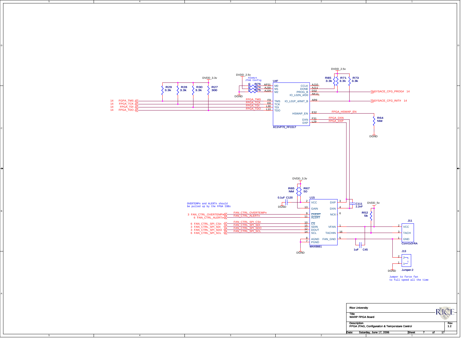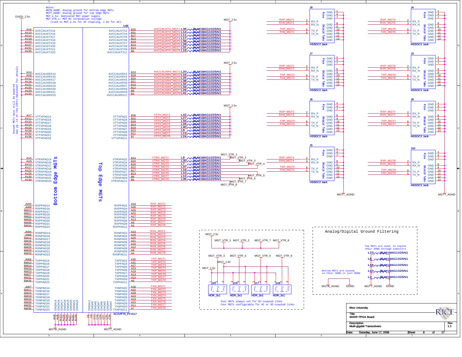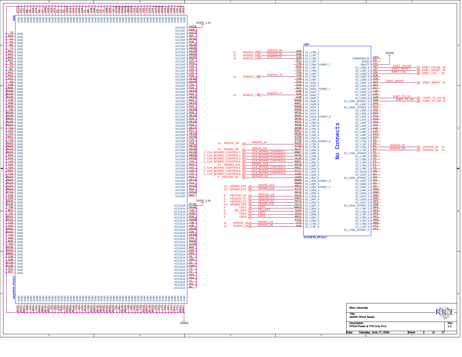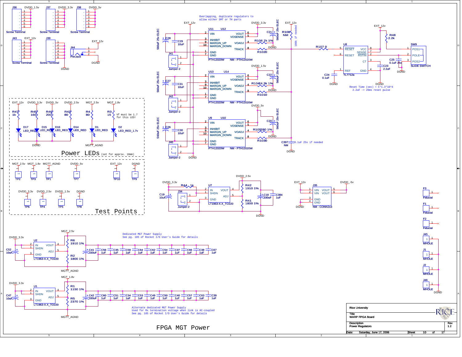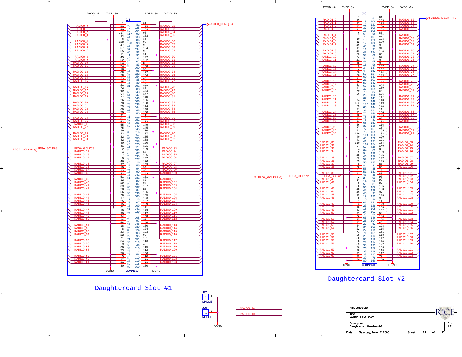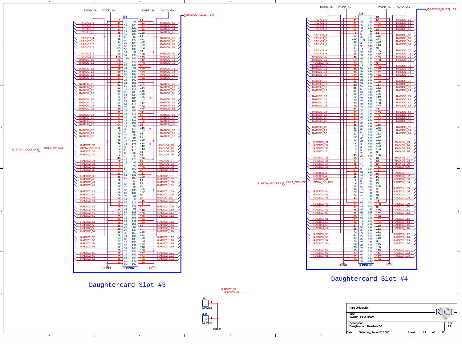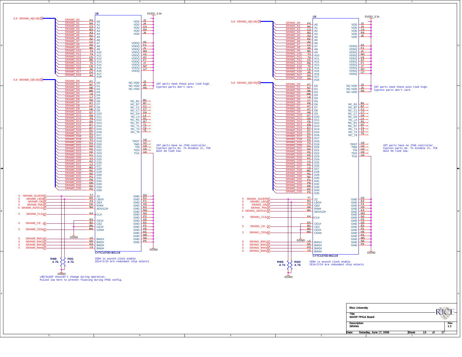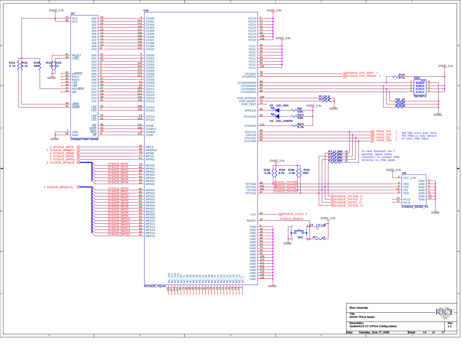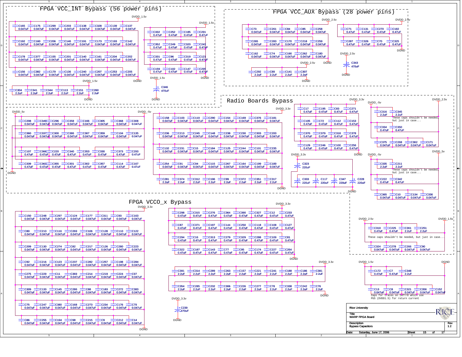